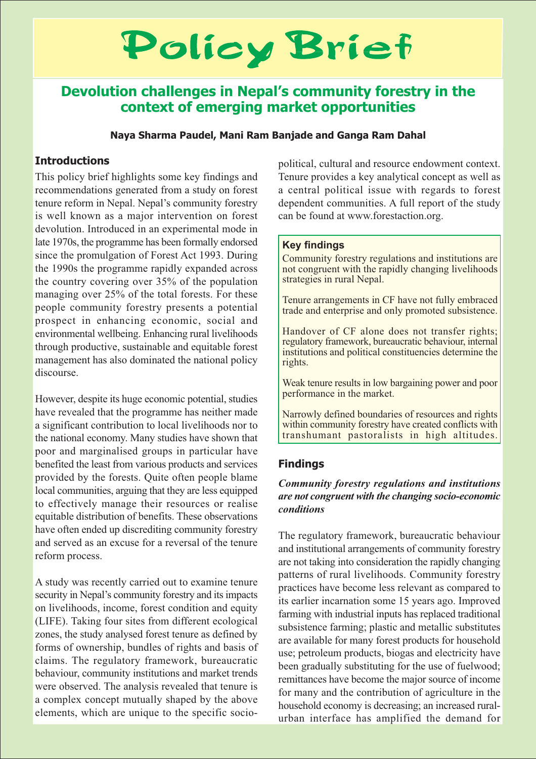# Policy Brief

# Devolution challenges in Nepal's community forestry in the context of emerging market opportunities

### Naya Sharma Paudel, Mani Ram Banjade and Ganga Ram Dahal

# **Introductions**

This policy brief highlights some key findings and recommendations generated from a study on forest tenure reform in Nepal. Nepal's community forestry is well known as a major intervention on forest devolution. Introduced in an experimental mode in late 1970s, the programme has been formally endorsed since the promulgation of Forest Act 1993. During the 1990s the programme rapidly expanded across the country covering over 35% of the population managing over 25% of the total forests. For these people community forestry presents a potential prospect in enhancing economic, social and environmental wellbeing. Enhancing rural livelihoods through productive, sustainable and equitable forest management has also dominated the national policy discourse.

However, despite its huge economic potential, studies have revealed that the programme has neither made a significant contribution to local livelihoods nor to the national economy. Many studies have shown that poor and marginalised groups in particular have benefited the least from various products and services provided by the forests. Quite often people blame local communities, arguing that they are less equipped to effectively manage their resources or realise equitable distribution of benefits. These observations have often ended up discrediting community forestry and served as an excuse for a reversal of the tenure reform process.

A study was recently carried out to examine tenure security in Nepal's community forestry and its impacts on livelihoods, income, forest condition and equity (LIFE). Taking four sites from different ecological zones, the study analysed forest tenure as defined by forms of ownership, bundles of rights and basis of claims. The regulatory framework, bureaucratic behaviour, community institutions and market trends were observed. The analysis revealed that tenure is a complex concept mutually shaped by the above elements, which are unique to the specific sociopolitical, cultural and resource endowment context. Tenure provides a key analytical concept as well as a central political issue with regards to forest dependent communities. A full report of the study can be found at www.forestaction.org.

## **Key findings**

Community forestry regulations and institutions are not congruent with the rapidly changing livelihoods strategies in rural Nepal.

Tenure arrangements in CF have not fully embraced trade and enterprise and only promoted subsistence.

Handover of CF alone does not transfer rights; regulatory framework, bureaucratic behaviour, internal institutions and political constituencies determine the rights.

Weak tenure results in low bargaining power and poor performance in the market.

Narrowly defined boundaries of resources and rights within community forestry have created conflicts with transhumant pastoralists in high altitudes.

# **Findings**

### **Community forestry regulations and institutions** are not congruent with the changing socio-economic *conditions*

The regulatory framework, bureaucratic behaviour and institutional arrangements of community forestry are not taking into consideration the rapidly changing patterns of rural livelihoods. Community forestry practices have become less relevant as compared to its earlier incarnation some 15 years ago. Improved farming with industrial inputs has replaced traditional subsistence farming; plastic and metallic substitutes are available for many forest products for household use; petroleum products, biogas and electricity have been gradually substituting for the use of fuelwood; remittances have become the major source of income for many and the contribution of agriculture in the household economy is decreasing; an increased ruralurban interface has amplified the demand for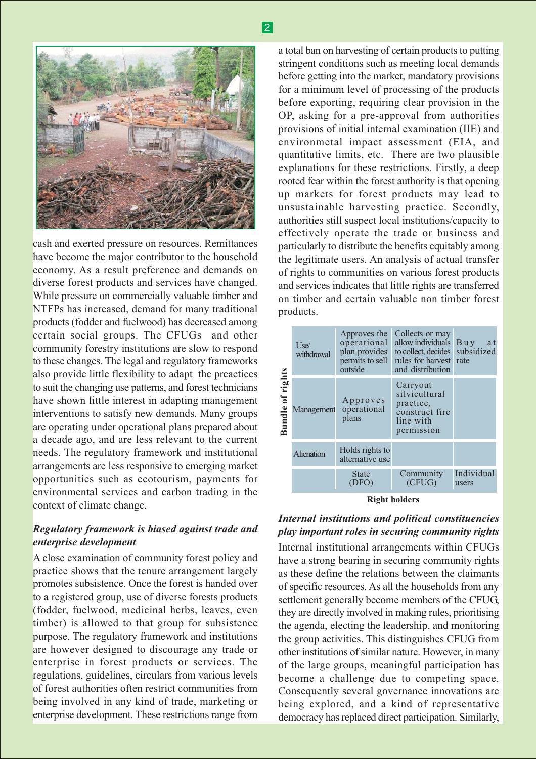

cash and exerted pressure on resources. Remittances have become the major contributor to the household economy. As a result preference and demands on diverse forest products and services have changed. While pressure on commercially valuable timber and NTFPs has increased, demand for many traditional products (fodder and fuelwood) has decreased among certain social groups. The CFUGs and other community forestry institutions are slow to respond to these changes. The legal and regulatory frameworks also provide little flexibility to adapt the preactices to suit the changing use patterns, and forest technicians have shown little interest in adapting management interventions to satisfy new demands. Many groups are operating under operational plans prepared about a decade ago, and are less relevant to the current needs. The regulatory framework and institutional arrangements are less responsive to emerging market opportunities such as ecotourism, payments for environmental services and carbon trading in the context of climate change.

### Regulatory framework is biased against trade and enterprise development

A close examination of community forest policy and practice shows that the tenure arrangement largely promotes subsistence. Once the forest is handed over to a registered group, use of diverse forests products (fodder, fuelwood, medicinal herbs, leaves, even timber) is allowed to that group for subsistence purpose. The regulatory framework and institutions are however designed to discourage any trade or enterprise in forest products or services. The regulations, guidelines, circulars from various levels of forest authorities often restrict communities from being involved in any kind of trade, marketing or enterprise development. These restrictions range from

a total ban on harvesting of certain products to putting stringent conditions such as meeting local demands before getting into the market, mandatory provisions for a minimum level of processing of the products before exporting, requiring clear provision in the OP, asking for a pre-approval from authorities provisions of initial internal examination (IIE) and environmetal impact assessment (EIA, and quantitative limits, etc. There are two plausible explanations for these restrictions. Firstly, a deep rooted fear within the forest authority is that opening up markets for forest products may lead to unsustainable harvesting practice. Secondly, authorities still suspect local institutions/capacity to effectively operate the trade or business and particularly to distribute the benefits equitably among the legitimate users. An analysis of actual transfer of rights to communities on various forest products and services indicates that little rights are transferred on timber and certain valuable non timber forest products.



**Right holders** 

# Internal institutions and political constituencies play important roles in securing community rights

Internal institutional arrangements within CFUGs have a strong bearing in securing community rights as these define the relations between the claimants of specific resources. As all the households from any settlement generally become members of the CFUG, they are directly involved in making rules, prioritising the agenda, electing the leadership, and monitoring the group activities. This distinguishes CFUG from other institutions of similar nature. However, in many of the large groups, meaningful participation has become a challenge due to competing space. Consequently several governance innovations are being explored, and a kind of representative democracy has replaced direct participation. Similarly,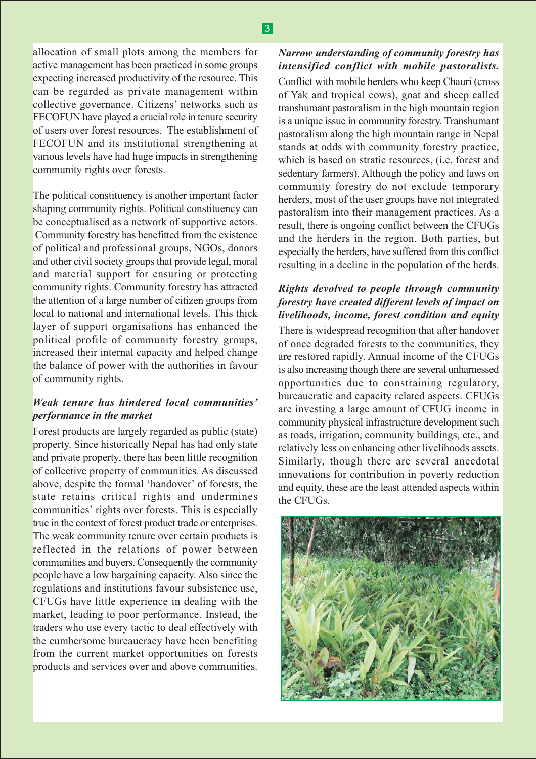# $|3|$

allocation of small plots among the members for active management has been practiced in some groups expecting increased productivity of the resource. This can be regarded as private management within collective governance. Citizens' networks such as FECOFUN have played a crucial role in tenure security of users over forest resources. The establishment of FECOFUN and its institutional strengthening at various levels have had huge impacts in strengthening community rights over forests.

The political constituency is another important factor shaping community rights. Political constituency can be conceptualised as a network of supportive actors. Community forestry has benefitted from the existence of political and professional groups, NGOs, donors and other civil society groups that provide legal, moral and material support for ensuring or protecting community rights. Community forestry has attracted the attention of a large number of citizen groups from local to national and international levels. This thick layer of support organisations has enhanced the political profile of community forestry groups, increased their internal capacity and helped change the balance of power with the authorities in favour of community rights.

#### Weak tenure has hindered local communities' performance in the market

Forest products are largely regarded as public (state) property. Since historically Nepal has had only state and private property, there has been little recognition of collective property of communities. As discussed above, despite the formal 'handover' of forests, the state retains critical rights and undermines communities' rights over forests. This is especially true in the context of forest product trade or enterprises. The weak community tenure over certain products is reflected in the relations of power between communities and buyers. Consequently the community people have a low bargaining capacity. Also since the regulations and institutions favour subsistence use. CFUGs have little experience in dealing with the market, leading to poor performance. Instead, the traders who use every tactic to deal effectively with the cumbersome bureaucracy have been benefiting from the current market opportunities on forests products and services over and above communities.

# Narrow understanding of community forestry has intensified conflict with mobile pastoralists.

Conflict with mobile herders who keep Chauri (cross of Yak and tropical cows), goat and sheep called transhumant pastoralism in the high mountain region is a unique issue in community forestry. Transhumant pastoralism along the high mountain range in Nepal stands at odds with community forestry practice, which is based on stratic resources, (i.e. forest and sedentary farmers). Although the policy and laws on community forestry do not exclude temporary herders, most of the user groups have not integrated pastoralism into their management practices. As a result, there is ongoing conflict between the CFUGs and the herders in the region. Both parties, but especially the herders, have suffered from this conflict resulting in a decline in the population of the herds.

### Rights devolved to people through community forestry have created different levels of impact on livelihoods, income, forest condition and equity

There is widespread recognition that after handover of once degraded forests to the communities, they are restored rapidly. Annual income of the CFUGs is also increasing though there are several unharnessed opportunities due to constraining regulatory, bureaucratic and capacity related aspects. CFUGs are investing a large amount of CFUG income in community physical infrastructure development such as roads, irrigation, community buildings, etc., and relatively less on enhancing other livelihoods assets. Similarly, though there are several anecdotal innovations for contribution in poverty reduction and equity, these are the least attended aspects within the CFUGs.